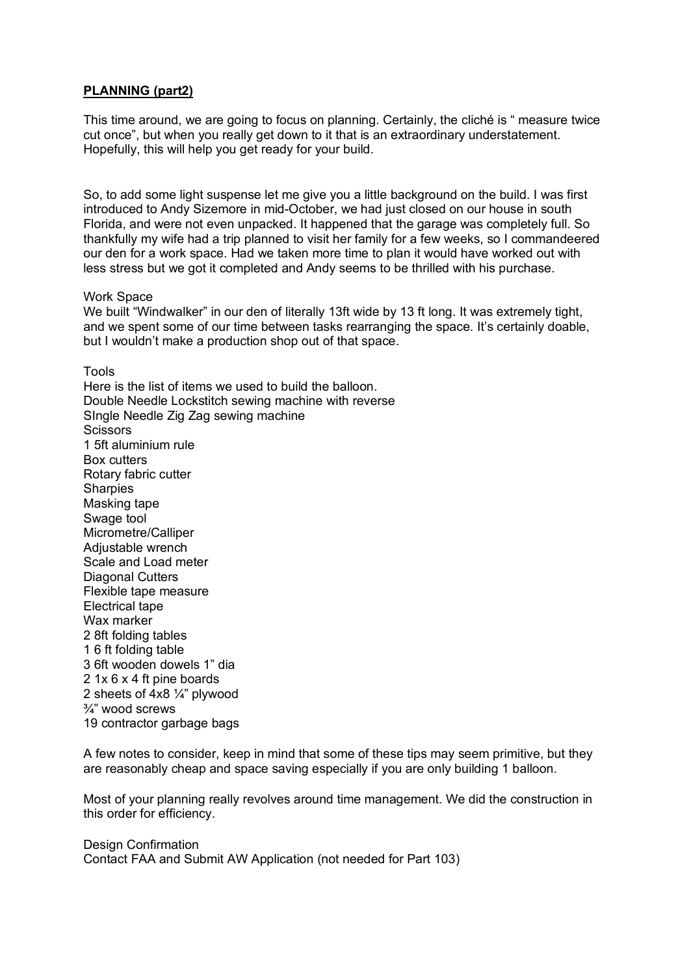## **PLANNING (part2)**

This time around, we are going to focus on planning. Certainly, the cliché is " measure twice cut once", but when you really get down to it that is an extraordinary understatement. Hopefully, this will help you get ready for your build.

So, to add some light suspense let me give you a little background on the build. I was first introduced to Andy Sizemore in mid-October, we had just closed on our house in south Florida, and were not even unpacked. It happened that the garage was completely full. So thankfully my wife had a trip planned to visit her family for a few weeks, so I commandeered our den for a work space. Had we taken more time to plan it would have worked out with less stress but we got it completed and Andy seems to be thrilled with his purchase.

## Work Space

We built "Windwalker" in our den of literally 13ft wide by 13 ft long. It was extremely tight, and we spent some of our time between tasks rearranging the space. It's certainly doable, but I wouldn't make a production shop out of that space.

Tools

Here is the list of items we used to build the balloon. Double Needle Lockstitch sewing machine with reverse SIngle Needle Zig Zag sewing machine **Scissors** 1 5ft aluminium rule Box cutters Rotary fabric cutter **Sharpies** Masking tape Swage tool Micrometre/Calliper Adjustable wrench Scale and Load meter Diagonal Cutters Flexible tape measure Electrical tape Wax marker 2 8ft folding tables 1 6 ft folding table 3 6ft wooden dowels 1" dia 2 1x 6 x 4 ft pine boards 2 sheets of 4x8 ¼" plywood ¾" wood screws 19 contractor garbage bags

A few notes to consider, keep in mind that some of these tips may seem primitive, but they are reasonably cheap and space saving especially if you are only building 1 balloon.

Most of your planning really revolves around time management. We did the construction in this order for efficiency.

Design Confirmation Contact FAA and Submit AW Application (not needed for Part 103)